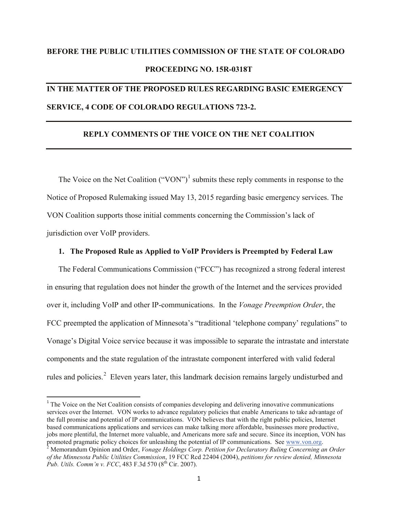# **BEFORE THE PUBLIC UTILITIES COMMISSION OF THE STATE OF COLORADO PROCEEDING NO. 15R-0318T**

## **IN THE MATTER OF THE PROPOSED RULES REGARDING BASIC EMERGENCY SERVICE, 4 CODE OF COLORADO REGULATIONS 723-2.**

### **REPLY COMMENTS OF THE VOICE ON THE NET COALITION**

The Voice on the Net Coalition ("VON")<sup>[1](#page-0-0)</sup> submits these reply comments in response to the Notice of Proposed Rulemaking issued May 13, 2015 regarding basic emergency services. The VON Coalition supports those initial comments concerning the Commission's lack of jurisdiction over VoIP providers.

### **1. The Proposed Rule as Applied to VoIP Providers is Preempted by Federal Law**

The Federal Communications Commission ("FCC") has recognized a strong federal interest in ensuring that regulation does not hinder the growth of the Internet and the services provided over it, including VoIP and other IP-communications. In the *Vonage Preemption Order*, the FCC preempted the application of Minnesota's "traditional 'telephone company' regulations" to Vonage's Digital Voice service because it was impossible to separate the intrastate and interstate components and the state regulation of the intrastate component interfered with valid federal rules and policies.<sup>[2](#page-0-1)</sup> Eleven years later, this landmark decision remains largely undisturbed and

<span id="page-0-0"></span> $1$ <sup>1</sup> The Voice on the Net Coalition consists of companies developing and delivering innovative communications services over the Internet. VON works to advance regulatory policies that enable Americans to take advantage of the full promise and potential of IP communications. VON believes that with the right public policies, Internet based communications applications and services can make talking more affordable, businesses more productive, jobs more plentiful, the Internet more valuable, and Americans more safe and secure. Since its inception, VON has promoted pragmatic policy choices for unleashing the potential of IP communications. See [www.von.org.](http://www.von.org/)<br><sup>2</sup> Memorandum Opinion and Order, *Vonage Holdings Corp. Petition for Declaratory Ruling Concerning an Order* 

<span id="page-0-1"></span>*of the Minnesota Public Utilities Commission*, 19 FCC Rcd 22404 (2004), *petitions for review denied, Minnesota Pub. Utils. Comm'n v. FCC*, 483 F.3d 570 ( $8^{th}$  Cir. 2007).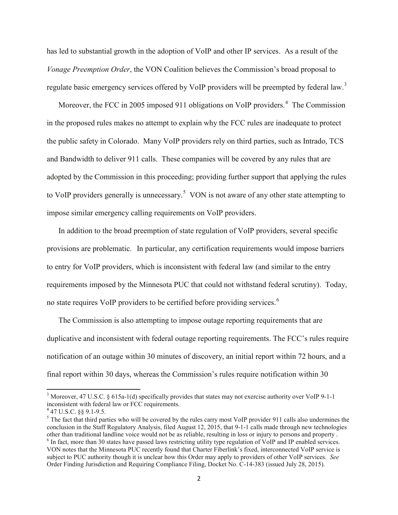has led to substantial growth in the adoption of VoIP and other IP services. As a result of the *Vonage Preemption Order*, the VON Coalition believes the Commission's broad proposal to regulate basic emergency services offered by VoIP providers will be preempted by federal law.<sup>[3](#page-1-0)</sup>

Moreover, the FCC in 2005 imposed 911 obligations on VoIP providers.<sup>[4](#page-1-1)</sup> The Commission in the proposed rules makes no attempt to explain why the FCC rules are inadequate to protect the public safety in Colorado. Many VoIP providers rely on third parties, such as Intrado, TCS and Bandwidth to deliver 911 calls. These companies will be covered by any rules that are adopted by the Commission in this proceeding; providing further support that applying the rules to VoIP providers generally is unnecessary.<sup>[5](#page-1-2)</sup> VON is not aware of any other state attempting to impose similar emergency calling requirements on VoIP providers.

In addition to the broad preemption of state regulation of VoIP providers, several specific provisions are problematic. In particular, any certification requirements would impose barriers to entry for VoIP providers, which is inconsistent with federal law (and similar to the entry requirements imposed by the Minnesota PUC that could not withstand federal scrutiny). Today, no state requires VoIP providers to be certified before providing services.<sup>[6](#page-1-3)</sup>

The Commission is also attempting to impose outage reporting requirements that are duplicative and inconsistent with federal outage reporting requirements. The FCC's rules require notification of an outage within 30 minutes of discovery, an initial report within 72 hours, and a final report within 30 days, whereas the Commission's rules require notification within 30

<span id="page-1-0"></span><sup>&</sup>lt;sup>3</sup> Moreover, 47 U.S.C. § 615a-1(d) specifically provides that states may not exercise authority over VoIP 9-1-1 inconsistent with federal law or FCC requirements.<br><sup>4</sup> 47 U.S.C. §§ 9.1-9.5.

<span id="page-1-1"></span>

<span id="page-1-3"></span><span id="page-1-2"></span> $<sup>5</sup>$  The fact that third parties who will be covered by the rules carry most VoIP provider 911 calls also undermines the</sup> conclusion in the Staff Regulatory Analysis, filed August 12, 2015, that 9-1-1 calls made through new technologies other than traditional landline voice would not be as reliable, resulting in loss or injury to persons and <sup>6</sup> In fact, more than 30 states have passed laws restricting utility type regulation of VoIP and IP enabled services. VON notes that the Minnesota PUC recently found that Charter Fiberlink's fixed, interconnected VoIP service is subject to PUC authority though it is unclear how this Order may apply to providers of other VoIP services. *See* Order Finding Jurisdiction and Requiring Compliance Filing, Docket No. C-14-383 (issued July 28, 2015).